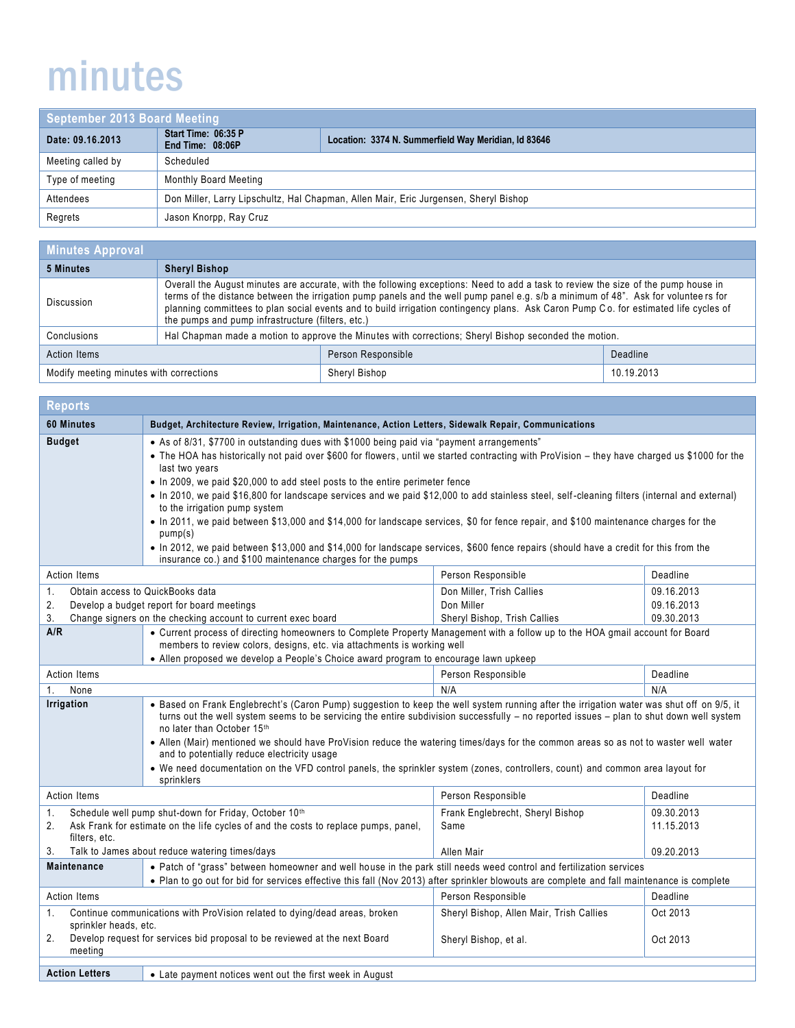## minutes

| September 2013 Board Meeting |                                                                                      |                                                      |
|------------------------------|--------------------------------------------------------------------------------------|------------------------------------------------------|
| Date: 09.16.2013             | Start Time: 06:35 P<br>End Time: 08:06P                                              | Location: 3374 N. Summerfield Way Meridian, Id 83646 |
| Meeting called by            | Scheduled                                                                            |                                                      |
| Type of meeting              | <b>Monthly Board Meeting</b>                                                         |                                                      |
| Attendees                    | Don Miller, Larry Lipschultz, Hal Chapman, Allen Mair, Eric Jurgensen, Sheryl Bishop |                                                      |
| Regrets                      | Jason Knorpp, Ray Cruz                                                               |                                                      |

| <b>Minutes Approval</b>                 |                                                                                                                                                                                                                                                                                                                                                                                                                                                                       |                    |            |
|-----------------------------------------|-----------------------------------------------------------------------------------------------------------------------------------------------------------------------------------------------------------------------------------------------------------------------------------------------------------------------------------------------------------------------------------------------------------------------------------------------------------------------|--------------------|------------|
| 5 Minutes                               | <b>Sheryl Bishop</b>                                                                                                                                                                                                                                                                                                                                                                                                                                                  |                    |            |
| <b>Discussion</b>                       | Overall the August minutes are accurate, with the following exceptions: Need to add a task to review the size of the pump house in<br>terms of the distance between the irrigation pump panels and the well pump panel e.g. s/b a minimum of 48". Ask for volunteers for<br>planning committees to plan social events and to build irrigation contingency plans. Ask Caron Pump Co. for estimated life cycles of<br>the pumps and pump infrastructure (filters, etc.) |                    |            |
| Conclusions                             | Hal Chapman made a motion to approve the Minutes with corrections; Sheryl Bishop seconded the motion.                                                                                                                                                                                                                                                                                                                                                                 |                    |            |
| <b>Action Items</b>                     |                                                                                                                                                                                                                                                                                                                                                                                                                                                                       | Person Responsible | Deadline   |
| Modify meeting minutes with corrections |                                                                                                                                                                                                                                                                                                                                                                                                                                                                       | Sheryl Bishop      | 10.19.2013 |

| <b>Reports</b>                                                                                                                                                                                                                    |                                                                                                                                                                                                                                                                                                                                                                                                                                                                                                                                                                                                                                                                                                                                                                                                                                                                                          |                                                                         |                                        |
|-----------------------------------------------------------------------------------------------------------------------------------------------------------------------------------------------------------------------------------|------------------------------------------------------------------------------------------------------------------------------------------------------------------------------------------------------------------------------------------------------------------------------------------------------------------------------------------------------------------------------------------------------------------------------------------------------------------------------------------------------------------------------------------------------------------------------------------------------------------------------------------------------------------------------------------------------------------------------------------------------------------------------------------------------------------------------------------------------------------------------------------|-------------------------------------------------------------------------|----------------------------------------|
| 60 Minutes                                                                                                                                                                                                                        | Budget, Architecture Review, Irrigation, Maintenance, Action Letters, Sidewalk Repair, Communications                                                                                                                                                                                                                                                                                                                                                                                                                                                                                                                                                                                                                                                                                                                                                                                    |                                                                         |                                        |
| <b>Budget</b>                                                                                                                                                                                                                     | • As of 8/31, \$7700 in outstanding dues with \$1000 being paid via "payment arrangements"<br>• The HOA has historically not paid over \$600 for flowers, until we started contracting with ProVision - they have charged us \$1000 for the<br>last two years<br>• In 2009, we paid \$20,000 to add steel posts to the entire perimeter fence<br>• In 2010, we paid \$16,800 for landscape services and we paid \$12,000 to add stainless steel, self-cleaning filters (internal and external)<br>to the irrigation pump system<br>• In 2011, we paid between \$13,000 and \$14,000 for landscape services, \$0 for fence repair, and \$100 maintenance charges for the<br>pump(s)<br>• In 2012, we paid between \$13,000 and \$14,000 for landscape services, \$600 fence repairs (should have a credit for this from the<br>insurance co.) and \$100 maintenance charges for the pumps |                                                                         |                                        |
| <b>Action Items</b>                                                                                                                                                                                                               |                                                                                                                                                                                                                                                                                                                                                                                                                                                                                                                                                                                                                                                                                                                                                                                                                                                                                          | Person Responsible                                                      | Deadline                               |
| 1.<br>2.<br>3.<br>A/R                                                                                                                                                                                                             | Obtain access to QuickBooks data<br>Develop a budget report for board meetings<br>Change signers on the checking account to current exec board<br>• Current process of directing homeowners to Complete Property Management with a follow up to the HOA gmail account for Board                                                                                                                                                                                                                                                                                                                                                                                                                                                                                                                                                                                                          | Don Miller, Trish Callies<br>Don Miller<br>Sheryl Bishop, Trish Callies | 09.16.2013<br>09.16.2013<br>09.30.2013 |
|                                                                                                                                                                                                                                   | members to review colors, designs, etc. via attachments is working well<br>• Allen proposed we develop a People's Choice award program to encourage lawn upkeep                                                                                                                                                                                                                                                                                                                                                                                                                                                                                                                                                                                                                                                                                                                          |                                                                         |                                        |
| <b>Action Items</b>                                                                                                                                                                                                               |                                                                                                                                                                                                                                                                                                                                                                                                                                                                                                                                                                                                                                                                                                                                                                                                                                                                                          | Person Responsible                                                      | Deadline                               |
| N/A<br>N/A<br>None<br>1.                                                                                                                                                                                                          |                                                                                                                                                                                                                                                                                                                                                                                                                                                                                                                                                                                                                                                                                                                                                                                                                                                                                          |                                                                         |                                        |
| Irrigation                                                                                                                                                                                                                        | . Based on Frank Englebrecht's (Caron Pump) suggestion to keep the well system running after the irrigation water was shut off on 9/5, it<br>turns out the well system seems to be servicing the entire subdivision successfully - no reported issues - plan to shut down well system<br>no later than October 15th<br>• Allen (Mair) mentioned we should have ProVision reduce the watering times/days for the common areas so as not to waster well water<br>and to potentially reduce electricity usage<br>• We need documentation on the VFD control panels, the sprinkler system (zones, controllers, count) and common area layout for<br>sprinklers                                                                                                                                                                                                                               |                                                                         |                                        |
| <b>Action Items</b>                                                                                                                                                                                                               |                                                                                                                                                                                                                                                                                                                                                                                                                                                                                                                                                                                                                                                                                                                                                                                                                                                                                          | Person Responsible                                                      | Deadline                               |
| Schedule well pump shut-down for Friday, October 10th<br>1.<br>Ask Frank for estimate on the life cycles of and the costs to replace pumps, panel,<br>2.<br>filters, etc.<br>Talk to James about reduce watering times/days<br>3. |                                                                                                                                                                                                                                                                                                                                                                                                                                                                                                                                                                                                                                                                                                                                                                                                                                                                                          | Frank Englebrecht, Sheryl Bishop<br>Same<br>Allen Mair                  | 09.30.2013<br>11.15.2013<br>09.20.2013 |
| <b>Maintenance</b>                                                                                                                                                                                                                | • Patch of "grass" between homeowner and well house in the park still needs weed control and fertilization services                                                                                                                                                                                                                                                                                                                                                                                                                                                                                                                                                                                                                                                                                                                                                                      |                                                                         |                                        |
| • Plan to go out for bid for services effective this fall (Nov 2013) after sprinkler blowouts are complete and fall maintenance is complete                                                                                       |                                                                                                                                                                                                                                                                                                                                                                                                                                                                                                                                                                                                                                                                                                                                                                                                                                                                                          |                                                                         |                                        |
| <b>Action Items</b>                                                                                                                                                                                                               |                                                                                                                                                                                                                                                                                                                                                                                                                                                                                                                                                                                                                                                                                                                                                                                                                                                                                          | Person Responsible                                                      | Deadline                               |
| Continue communications with ProVision related to dying/dead areas, broken<br>1.<br>sprinkler heads, etc.<br>Develop request for services bid proposal to be reviewed at the next Board<br>2.                                     |                                                                                                                                                                                                                                                                                                                                                                                                                                                                                                                                                                                                                                                                                                                                                                                                                                                                                          | Sheryl Bishop, Allen Mair, Trish Callies<br>Sheryl Bishop, et al.       | Oct 2013<br>Oct 2013                   |
| meeting                                                                                                                                                                                                                           |                                                                                                                                                                                                                                                                                                                                                                                                                                                                                                                                                                                                                                                                                                                                                                                                                                                                                          |                                                                         |                                        |
| <b>Action Letters</b>                                                                                                                                                                                                             | • Late payment notices went out the first week in August                                                                                                                                                                                                                                                                                                                                                                                                                                                                                                                                                                                                                                                                                                                                                                                                                                 |                                                                         |                                        |